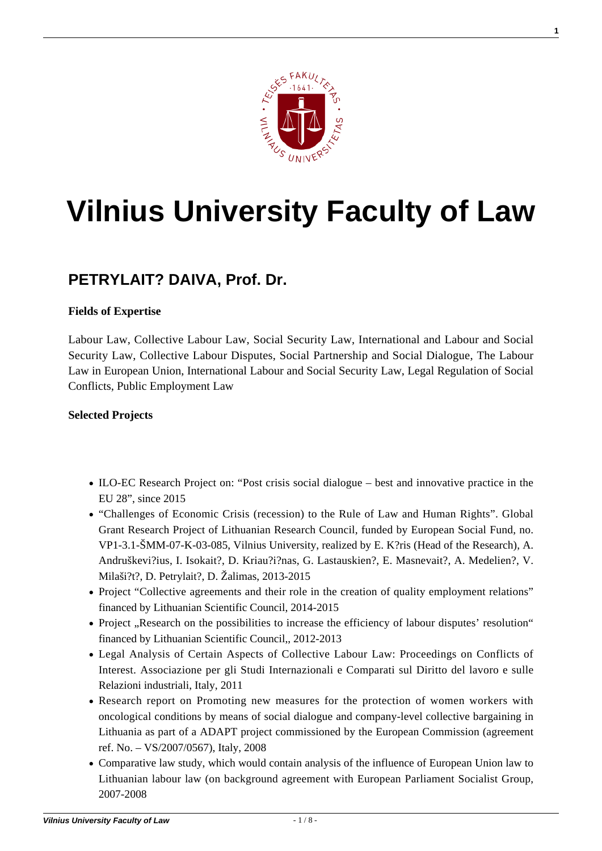

**1**

# **[Vilnius University Faculty of Law](https://www.tf.vu.lt/)**

## **[PETRYLAIT? DAIVA, Prof. Dr.](https://www.tf.vu.lt/about_us/scientists-and-academics/petrylaite-daiva-prof-dr/)**

#### **Fields of Expertise**

Labour Law, Collective Labour Law, Social Security Law, International and Labour and Social Security Law, Collective Labour Disputes, Social Partnership and Social Dialogue, The Labour Law in European Union, International Labour and Social Security Law, Legal Regulation of Social Conflicts, Public Employment Law

#### **Selected Projects**

- ILO-EC Research Project on: "Post crisis social dialogue best and innovative practice in the EU 28", since 2015
- "Challenges of Economic Crisis (recession) to the Rule of Law and Human Rights". Global Grant Research Project of Lithuanian Research Council, funded by European Social Fund, no. VP1-3.1-ŠMM-07-K-03-085, Vilnius University, realized by E. K?ris (Head of the Research), A. Andruškevi?ius, I. Isokait?, D. Kriau?i?nas, G. Lastauskien?, E. Masnevait?, A. Medelien?, V. Milaši?t?, D. Petrylait?, D. Žalimas, 2013-2015
- Project "Collective agreements and their role in the creation of quality employment relations" financed by Lithuanian Scientific Council, 2014-2015
- Project "Research on the possibilities to increase the efficiency of labour disputes' resolution" financed by Lithuanian Scientific Council,, 2012-2013
- Legal Analysis of Certain Aspects of Collective Labour Law: Proceedings on Conflicts of Interest. Associazione per gli Studi Internazionali e Comparati sul Diritto del lavoro e sulle Relazioni industriali, Italy, 2011
- Research report on Promoting new measures for the protection of women workers with oncological conditions by means of social dialogue and company-level collective bargaining in Lithuania as part of a ADAPT project commissioned by the European Commission (agreement ref. No. – VS/2007/0567), Italy, 2008
- Comparative law study, which would contain analysis of the influence of European Union law to Lithuanian labour law (on background agreement with European Parliament Socialist Group, 2007-2008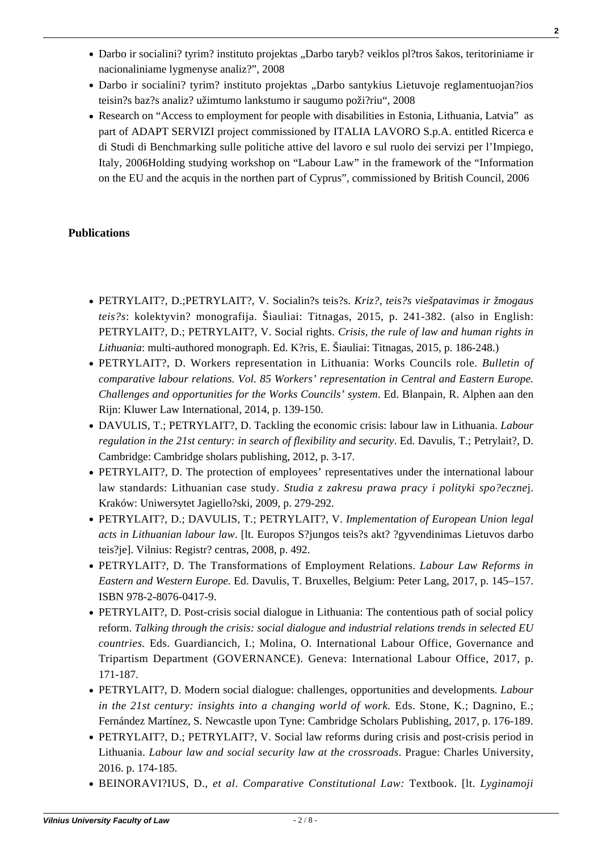**Vilnius University Faculty of Law** - 2 / 8 -

- Darbo ir socialini? tyrim? instituto projektas "Darbo taryb? veiklos pl?tros šakos, teritoriniame ir nacionaliniame lygmenyse analiz?", 2008
- Darbo ir socialini? tyrim? instituto projektas "Darbo santykius Lietuvoje reglamentuojan?ios teisin?s baz?s analiz? užimtumo lankstumo ir saugumo poži?riu", 2008
- Research on "Access to employment for people with disabilities in Estonia, Lithuania, Latvia" as part of ADAPT SERVIZI project commissioned by ITALIA LAVORO S.p.A. entitled Ricerca e di Studi di Benchmarking sulle politiche attive del lavoro e sul ruolo dei servizi per l'Impiego, Italy, 2006Holding studying workshop on "Labour Law" in the framework of the "Information on the EU and the acquis in the northen part of Cyprus", commissioned by British Council, 2006

#### **Publications**

- [PETRYLAIT?, D.;PETRYLAIT?, V. Socialin?s teis?s.](http://www.tf.vu.lt/wp-content/uploads/2016/09/Monografija-Krize-teises-viespatavimas-ir-zmogaus-teises-LT.pdf) *[Kriz?, teis?s viešpatavimas ir žmogaus](http://www.tf.vu.lt/wp-content/uploads/2016/09/Monografija-Krize-teises-viespatavimas-ir-zmogaus-teises-LT.pdf) [teis?s](http://www.tf.vu.lt/wp-content/uploads/2016/09/Monografija-Krize-teises-viespatavimas-ir-zmogaus-teises-LT.pdf)*[: kolektyvin? monografija. Šiauliai: Titnagas, 2015, p. 241-382.](http://www.tf.vu.lt/wp-content/uploads/2016/09/Monografija-Krize-teises-viespatavimas-ir-zmogaus-teises-LT.pdf) (also in English: [PETRYLAIT?, D.; PETRYLAIT?, V. Social rights.](http://www.tf.vu.lt/wp-content/uploads/2016/09/Book-Crisis-the-rule-of-law-and-human-rights-in-Lithuania-EN.pdf) *[Crisis, the rule of law and human rights in](http://www.tf.vu.lt/wp-content/uploads/2016/09/Book-Crisis-the-rule-of-law-and-human-rights-in-Lithuania-EN.pdf) [Lithuania](http://www.tf.vu.lt/wp-content/uploads/2016/09/Book-Crisis-the-rule-of-law-and-human-rights-in-Lithuania-EN.pdf)*[: multi-authored monograph. Ed. K?ris, E. Šiauliai: Titnagas, 2015, p. 186-248.\)](http://www.tf.vu.lt/wp-content/uploads/2016/09/Book-Crisis-the-rule-of-law-and-human-rights-in-Lithuania-EN.pdf)
- PETRYLAIT?, D. Workers representation in Lithuania: Works Councils role. *Bulletin of comparative labour relations. Vol. 85 Workers' representation in Central and Eastern Europe. Challenges and opportunities for the Works Councils' system*. Ed. Blanpain, R. Alphen aan den Rijn: Kluwer Law International, 2014, p. 139-150.
- DAVULIS, T.; PETRYLAIT?, D. Tackling the economic crisis: labour law in Lithuania. *Labour regulation in the 21st century: in search of flexibility and security*. Ed. Davulis, T.; Petrylait?, D. Cambridge: Cambridge sholars publishing, 2012, p. 3-17.
- PETRYLAIT?, D. The protection of employees' representatives under the international labour law standards: Lithuanian case study. *Studia z zakresu prawa pracy i polityki spo?eczne*j. Kraków: Uniwersytet Jagiello?ski, 2009, p. 279-292.
- PETRYLAIT?, D.; DAVULIS, T.; PETRYLAIT?, V. *Implementation of European Union legal acts in Lithuanian labour law*. [lt. Europos S?jungos teis?s akt? ?gyvendinimas Lietuvos darbo teis?je]. Vilnius: Registr? centras, 2008, p. 492.
- PETRYLAIT?, D. The Transformations of Employment Relations. *Labour Law Reforms in Eastern and Western Europe.* Ed. Davulis, T. Bruxelles, Belgium: Peter Lang, 2017, p. 145–157. ISBN 978-2-8076-0417-9.
- [PETRYLAIT?, D. Post-crisis social dialogue in Lithuania: The contentious path of social policy](http://www.ilo.org/global/publications/books/WCMS_548950/lang--en/index.htm) [reform.](http://www.ilo.org/global/publications/books/WCMS_548950/lang--en/index.htm) *[Talking through the crisis: social dialogue and industrial relations trends in selected EU](http://www.ilo.org/global/publications/books/WCMS_548950/lang--en/index.htm) [countries.](http://www.ilo.org/global/publications/books/WCMS_548950/lang--en/index.htm)* [Eds. Guardiancich](http://www.ilo.org/global/publications/books/WCMS_548950/lang--en/index.htm)*[,](http://www.ilo.org/global/publications/books/WCMS_548950/lang--en/index.htm)* [I.; Molina, O. International Labour Office, Governance and](http://www.ilo.org/global/publications/books/WCMS_548950/lang--en/index.htm) [Tripartism Department \(GOVERNANCE\). Geneva: International Labour Office, 2017, p.](http://www.ilo.org/global/publications/books/WCMS_548950/lang--en/index.htm) [171-187.](http://www.ilo.org/global/publications/books/WCMS_548950/lang--en/index.htm)
- PETRYLAIT?, D. Modern social dialogue: challenges, opportunities and developments. *Labour in the 21st century: insights into a changing world of work.* Eds. Stone, K.; Dagnino, E.; Fernández Martínez, S. Newcastle upon Tyne: Cambridge Scholars Publishing, 2017, p. 176-189.
- PETRYLAIT?, D.; PETRYLAIT?, V. Social law reforms during crisis and post-crisis period in Lithuania. *Labour law and social security law at the crossroads*. Prague: Charles University, 2016. p. 174-185.
- BEINORAVI?IUS, D., *et al*. *Comparative Constitutional Law:* Textbook. [lt. *Lyginamoji*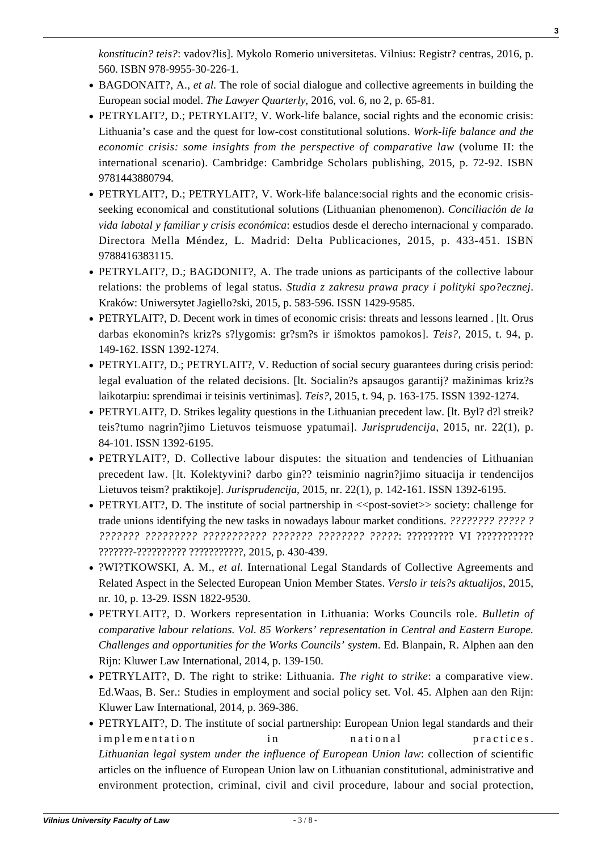*konstitucin? teis?*: vadov?lis]. Mykolo Romerio universitetas. Vilnius: Registr? centras, 2016, p. 560. ISBN 978-9955-30-226-1.

- [BAGDONAIT?, A.,](https://tlq.ilaw.cas.cz/index.php/tlq/article/view/189) *et al.* [The role of social dialogue and collective agreements in building the](https://tlq.ilaw.cas.cz/index.php/tlq/article/view/189) [European social model.](https://tlq.ilaw.cas.cz/index.php/tlq/article/view/189) *[The Lawyer Quarterly](https://tlq.ilaw.cas.cz/index.php/tlq/article/view/189)*[, 2016, vol. 6, no 2, p. 65-81.](https://tlq.ilaw.cas.cz/index.php/tlq/article/view/189)
- PETRYLAIT?, D.; PETRYLAIT?, V. Work-life balance, social rights and the economic crisis: Lithuania's case and the quest for low-cost constitutional solutions. *Work-life balance and the economic crisis: some insights from the perspective of comparative law* (volume II: the international scenario). Cambridge: Cambridge Scholars publishing, 2015, p. 72-92. ISBN 9781443880794.
- PETRYLAIT?, D.; PETRYLAIT?, V. Work-life balance:social rights and the economic crisisseeking economical and constitutional solutions (Lithuanian phenomenon). *Conciliación de la vida labotal y familiar y crisis económica*: estudios desde el derecho internacional y comparado. Directora Mella Méndez, L. Madrid: Delta Publicaciones, 2015, p. 433-451. ISBN 9788416383115.
- [PETRYLAIT?, D.; BAGDONIT?, A. The trade unions as participants of the collective labour](http://www.kppips.wpia.uj.edu.pl/czasopismo/rocznik-2015/-/journal_content/56_INSTANCE_ni0EVKJ8jWUd/88629380/106773352) [relations: the problems of legal status.](http://www.kppips.wpia.uj.edu.pl/czasopismo/rocznik-2015/-/journal_content/56_INSTANCE_ni0EVKJ8jWUd/88629380/106773352) *[Studia z zakresu prawa pracy i polityki spo?ecznej](http://www.kppips.wpia.uj.edu.pl/czasopismo/rocznik-2015/-/journal_content/56_INSTANCE_ni0EVKJ8jWUd/88629380/106773352)*[.](http://www.kppips.wpia.uj.edu.pl/czasopismo/rocznik-2015/-/journal_content/56_INSTANCE_ni0EVKJ8jWUd/88629380/106773352) [Kraków: Uniwersytet Jagiello?ski, 2015, p. 583-596. ISSN 1429-9585.](http://www.kppips.wpia.uj.edu.pl/czasopismo/rocznik-2015/-/journal_content/56_INSTANCE_ni0EVKJ8jWUd/88629380/106773352)
- [PETRYLAIT?, D. Decent work in times of economic crisis: threats and lessons learned . \[lt. Orus](http://etalpykla.lituanistikadb.lt/fedora/objects/LT-LDB-0001:J.04%7E2015%7E1441370350936/datastreams/DS.002.0.01.ARTIC/content) [darbas ekonomin?s kriz?s s?lygomis: gr?sm?s ir išmoktos pamokos\].](http://etalpykla.lituanistikadb.lt/fedora/objects/LT-LDB-0001:J.04%7E2015%7E1441370350936/datastreams/DS.002.0.01.ARTIC/content) *[Teis?](http://etalpykla.lituanistikadb.lt/fedora/objects/LT-LDB-0001:J.04%7E2015%7E1441370350936/datastreams/DS.002.0.01.ARTIC/content)*[, 2015, t. 94, p.](http://etalpykla.lituanistikadb.lt/fedora/objects/LT-LDB-0001:J.04%7E2015%7E1441370350936/datastreams/DS.002.0.01.ARTIC/content) [149-162. ISSN 1392-1274.](http://etalpykla.lituanistikadb.lt/fedora/objects/LT-LDB-0001:J.04%7E2015%7E1441370350936/datastreams/DS.002.0.01.ARTIC/content)
- [PETRYLAIT?, D.; PETRYLAIT?, V. Reduction of social secury guarantees during crisis period:](http://etalpykla.lituanistikadb.lt/fedora/objects/LT-LDB-0001:J.04%7E2015%7E1441370366874/datastreams/DS.002.0.01.ARTIC/content) [legal evaluation of the related decisions. \[lt. Socialin?s apsaugos garantij? mažinimas kriz?s](http://etalpykla.lituanistikadb.lt/fedora/objects/LT-LDB-0001:J.04%7E2015%7E1441370366874/datastreams/DS.002.0.01.ARTIC/content) [laikotarpiu: sprendimai ir teisinis vertinimas\].](http://etalpykla.lituanistikadb.lt/fedora/objects/LT-LDB-0001:J.04%7E2015%7E1441370366874/datastreams/DS.002.0.01.ARTIC/content) *[Teis?](http://etalpykla.lituanistikadb.lt/fedora/objects/LT-LDB-0001:J.04%7E2015%7E1441370366874/datastreams/DS.002.0.01.ARTIC/content)*[, 2015, t. 94, p. 163-175. ISSN 1392-1274.](http://etalpykla.lituanistikadb.lt/fedora/objects/LT-LDB-0001:J.04%7E2015%7E1441370366874/datastreams/DS.002.0.01.ARTIC/content)
- [PETRYLAIT?, D. Strikes legality questions in the Lithuanian precedent law. \[lt. Byl? d?l streik?](https://www3.mruni.eu/ojs/jurisprudence/article/view/4196/3927) [teis?tumo nagrin?jimo Lietuvos teismuose ypatumai\].](https://www3.mruni.eu/ojs/jurisprudence/article/view/4196/3927) *[Jurisprudencija,](https://www3.mruni.eu/ojs/jurisprudence/article/view/4196/3927)* [2015, nr. 22\(1\), p.](https://www3.mruni.eu/ojs/jurisprudence/article/view/4196/3927) [84-101. ISSN 1392-6195.](https://www3.mruni.eu/ojs/jurisprudence/article/view/4196/3927)
- [PETRYLAIT?, D. Collective labour disputes: the situation and tendencies of Lithuanian](https://www3.mruni.eu/ojs/jurisprudence/article/view/4199/3930) [precedent law. \[lt. Kolektyvini? darbo gin?? teisminio nagrin?jimo situacija ir tendencijos](https://www3.mruni.eu/ojs/jurisprudence/article/view/4199/3930) [Lietuvos teism? praktikoje\].](https://www3.mruni.eu/ojs/jurisprudence/article/view/4199/3930) *[Jurisprudencija,](https://www3.mruni.eu/ojs/jurisprudence/article/view/4199/3930)* [2015, nr. 22\(1\), p. 142-161. ISSN 1392-6195.](https://www3.mruni.eu/ojs/jurisprudence/article/view/4199/3930)
- PETRYLAIT?, D. The institute of social partnership in  $\langle$  post-soviet>> society: challenge for [trade unions identifying the new tasks in nowadays labour market conditions.](http://talpykla.elaba.lt/elaba-fedora/objects/elaba:18872088/datastreams/MAIN/content) *[???????? ????? ?](http://talpykla.elaba.lt/elaba-fedora/objects/elaba:18872088/datastreams/MAIN/content) [??????? ????????? ??????????? ??????? ???????? ?????](http://talpykla.elaba.lt/elaba-fedora/objects/elaba:18872088/datastreams/MAIN/content)*[: ????????? VI ???????????](http://talpykla.elaba.lt/elaba-fedora/objects/elaba:18872088/datastreams/MAIN/content) [???????-?????????? ???????????, 2015, p. 430-439.](http://talpykla.elaba.lt/elaba-fedora/objects/elaba:18872088/datastreams/MAIN/content)
- ?WI?TKOWSKI, A. M., *et al.* International Legal Standards of Collective Agreements and Related Aspect in the Selected European Union Member States. *Verslo ir teis?s aktualijos*, 2015, nr. 10, p. 13-29. ISSN 1822-9530.
- PETRYLAIT?, D. Workers representation in Lithuania: Works Councils role. *Bulletin of comparative labour relations. Vol. 85 Workers' representation in Central and Eastern Europe. Challenges and opportunities for the Works Councils' system*. Ed. Blanpain, R. Alphen aan den Rijn: Kluwer Law International, 2014, p. 139-150.
- PETRYLAIT?, D. The right to strike: Lithuania. *The right to strike*: a comparative view. Ed.Waas, B. Ser.: Studies in employment and social policy set. Vol. 45. Alphen aan den Rijn: Kluwer Law International, 2014, p. 369-386.
- PETRYLAIT?, D. The institute of social partnership: European Union legal standards and their implementation in national practices. *Lithuanian legal system under the influence of European Union law*: collection of scientific articles on the influence of European Union law on Lithuanian constitutional, administrative and environment protection, criminal, civil and civil procedure, labour and social protection,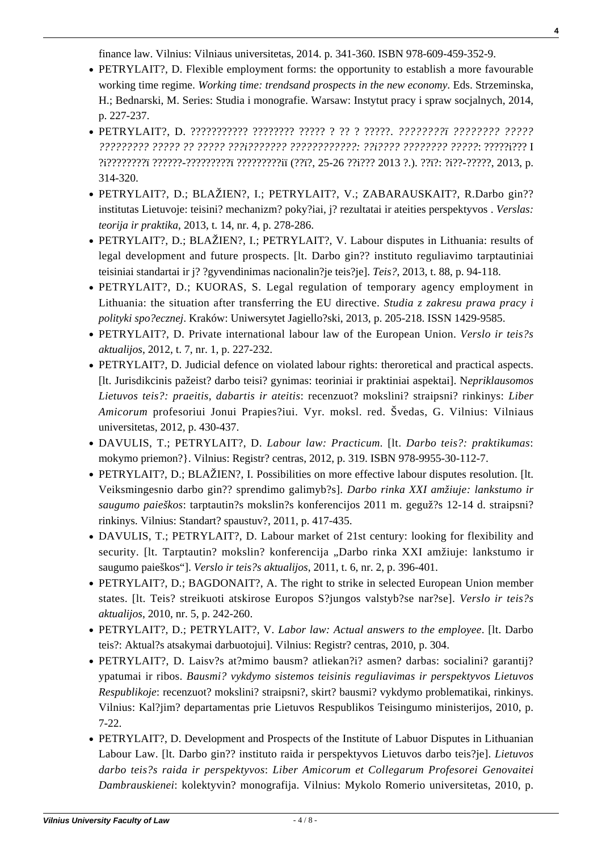finance law. Vilnius: Vilniaus universitetas, 2014. p. 341-360. ISBN 978-609-459-352-9.

- PETRYLAIT?, D. Flexible employment forms: the opportunity to establish a more favourable working time regime. *Working time: trendsand prospects in the new economy*. Eds. Strzeminska, H.; Bednarski, M. Series: Studia i monografie. Warsaw: Instytut pracy i spraw socjalnych, 2014, p. 227-237.
- PETRYLAIT?, D. ??????????? ???????? ????? ? ?? ? ?????. *????????ï ???????? ????? ????????? ????? ?? ????? ???i??????? ????????????: ??i???? ???????? ?????*: ?????i??? I ?i????????ï ??????-?????????ï ?????????iï (??ï?, 25-26 ??i??? 2013 ?.). ??ï?: ?i??-?????, 2013, p. 314-320.
- PETRYLAIT?, D.; BLAŽIEN?, I.; PETRYLAIT?, V.; ZABARAUSKAIT?, R.Darbo gin?? institutas Lietuvoje: teisini? mechanizm? poky?iai, j? rezultatai ir ateities perspektyvos . *Verslas: teorija ir praktika*, 2013, t. 14, nr. 4, p. 278-286.
- [PETRYLAIT?, D.; BLAŽIEN?, I.; PETRYLAIT?, V. Labour disputes in Lithuania: results of](http://www.zurnalai.vu.lt/teise/article/viewFile/1611/981) [legal development and future prospects. \[lt. Darbo gin?? instituto reguliavimo tarptautiniai](http://www.zurnalai.vu.lt/teise/article/viewFile/1611/981) [teisiniai standartai ir j? ?gyvendinimas nacionalin?je teis?je\].](http://www.zurnalai.vu.lt/teise/article/viewFile/1611/981) *[Teis?](http://www.zurnalai.vu.lt/teise/article/viewFile/1611/981)*[, 2013, t. 88, p. 94-118.](http://www.zurnalai.vu.lt/teise/article/viewFile/1611/981)
- PETRYLAIT?, D.; KUORAS, S. Legal regulation of temporary agency employment in Lithuania: the situation after transferring the EU directive. *Studia z zakresu prawa pracy i polityki spo?ecznej*. Kraków: Uniwersytet Jagiello?ski, 2013, p. 205-218. ISSN 1429-9585.
- PETRYLAIT?, D. Private international labour law of the European Union. *Verslo ir teis?s aktualijos*, 2012, t. 7, nr. 1, p. 227-232.
- PETRYLAIT?, D. Judicial defence on violated labour rights: theroretical and practical aspects. [lt. Jurisdikcinis pažeist? darbo teisi? gynimas: teoriniai ir praktiniai aspektai]. N*epriklausomos Lietuvos teis?: praeitis, dabartis ir ateitis*: recenzuot? mokslini? straipsni? rinkinys: *Liber Amicorum* profesoriui Jonui Prapies?iui. Vyr. moksl. red. Švedas, G. Vilnius: Vilniaus universitetas, 2012, p. 430-437.
- DAVULIS, T.; PETRYLAIT?, D. *Labour law: Practicum.* [lt. *Darbo teis?: praktikumas*: mokymo priemon?}. Vilnius: Registr? centras, 2012, p. 319. ISBN 978-9955-30-112-7.
- PETRYLAIT?, D.; BLAŽIEN?, I. Possibilities on more effective labour disputes resolution. [lt. Veiksmingesnio darbo gin?? sprendimo galimyb?s]. *Darbo rinka XXI amžiuje: lankstumo ir saugumo paieškos*: tarptautin?s mokslin?s konferencijos 2011 m. geguž?s 12-14 d. straipsni? rinkinys. Vilnius: Standart? spaustuv?, 2011, p. 417-435.
- DAVULIS, T.; PETRYLAIT?, D. Labour market of 21st century: looking for flexibility and security. [lt. Tarptautin? mokslin? konferencija "Darbo rinka XXI amžiuje: lankstumo ir saugumo paieškos"]. *Verslo ir teis?s aktualijos*, 2011, t. 6, nr. 2, p. 396-401.
- PETRYLAIT?, D.; BAGDONAIT?, A. The right to strike in selected European Union member states. [lt. Teis? streikuoti atskirose Europos S?jungos valstyb?se nar?se]. *Verslo ir teis?s aktualijos*, 2010, nr. 5, p. 242-260.
- PETRYLAIT?, D.; PETRYLAIT?, V. *Labor law: Actual answers to the employee*. [lt. Darbo teis?: Aktual?s atsakymai darbuotojui]. Vilnius: Registr? centras, 2010, p. 304.
- PETRYLAIT?, D. Laisv?s at?mimo bausm? atliekan?i? asmen? darbas: socialini? garantij? ypatumai ir ribos. *Bausmi? vykdymo sistemos teisinis reguliavimas ir perspektyvos Lietuvos Respublikoje*: recenzuot? mokslini? straipsni?, skirt? bausmi? vykdymo problematikai, rinkinys. Vilnius: Kal?jim? departamentas prie Lietuvos Respublikos Teisingumo ministerijos, 2010, p. 7-22.
- PETRYLAIT?, D. Development and Prospects of the Institute of Labuor Disputes in Lithuanian Labour Law. [lt. Darbo gin?? instituto raida ir perspektyvos Lietuvos darbo teis?je]. *Lietuvos darbo teis?s raida ir perspektyvos*: *Liber Amicorum et Collegarum Profesorei Genovaitei Dambrauskienei*: kolektyvin? monografija. Vilnius: Mykolo Romerio universitetas, 2010, p.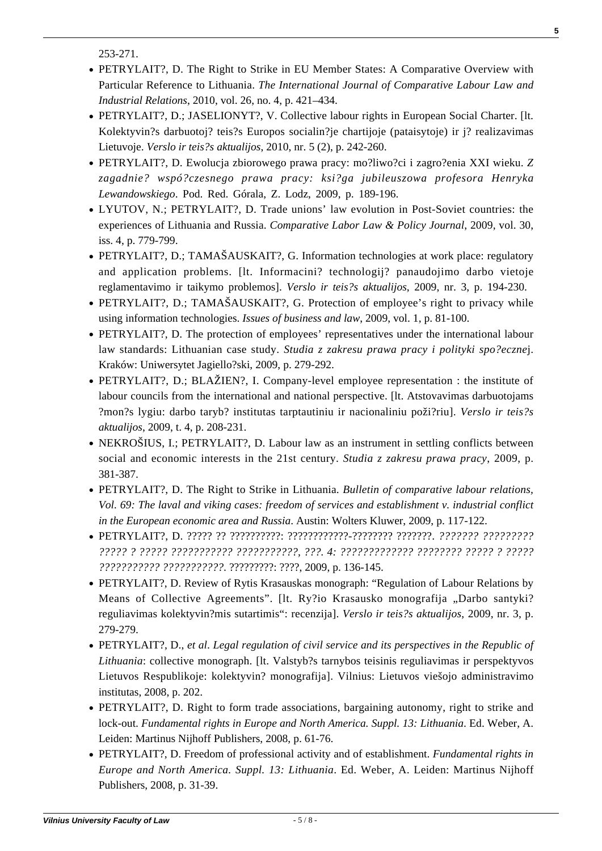**5**

253-271.

- PETRYLAIT?, D. The Right to Strike in EU Member States: A Comparative Overview with Particular Reference to Lithuania. *The International Journal of Comparative Labour Law and Industrial Relations*, 2010, vol. 26, no. 4, p. 421–434.
- PETRYLAIT?, D.; JASELIONYT?, V. Collective labour rights in European Social Charter. [lt. Kolektyvin?s darbuotoj? teis?s Europos socialin?je chartijoje (pataisytoje) ir j? realizavimas Lietuvoje. *Verslo ir teis?s aktualijos*, 2010, nr. 5 (2), p. 242-260.
- PETRYLAIT?, D. Ewolucja zbiorowego prawa pracy: mo?liwo?ci i zagro?enia XXI wieku. *Z zagadnie? wspó?czesnego prawa pracy: ksi?ga jubileuszowa profesora Henryka Lewandowskiego*. Pod. Red. Górala, Z. Lodz, 2009, p. 189-196.
- LYUTOV, N.; PETRYLAIT?, D. Trade unions' law evolution in Post-Soviet countries: the experiences of Lithuania and Russia. *Comparative Labor Law & Policy Journal*, 2009, vol. 30, iss. 4, p. 779-799.
- PETRYLAIT?, D.; TAMAŠAUSKAIT?, G. Information technologies at work place: regulatory and application problems. [lt. Informacini? technologij? panaudojimo darbo vietoje reglamentavimo ir taikymo problemos]. *Verslo ir teis?s aktualijos*, 2009, nr. 3, p. 194-230.
- PETRYLAIT?, D.; TAMAŠAUSKAIT?, G. Protection of employee's right to privacy while using information technologies. *Issues of business and law*, 2009, vol. 1, p. 81-100.
- PETRYLAIT?, D. The protection of employees' representatives under the international labour law standards: Lithuanian case study. *Studia z zakresu prawa pracy i polityki spo?eczne*j. Kraków: Uniwersytet Jagiello?ski, 2009, p. 279-292.
- PETRYLAIT?, D.; BLAŽIEN?, I. Company-level employee representation : the institute of labour councils from the international and national perspective. [lt. Atstovavimas darbuotojams ?mon?s lygiu: darbo taryb? institutas tarptautiniu ir nacionaliniu poži?riu]. *Verslo ir teis?s aktualijos*, 2009, t. 4, p. 208-231.
- NEKROŠIUS, I.; PETRYLAIT?, D. Labour law as an instrument in settling conflicts between social and economic interests in the 21st century. *Studia z zakresu prawa pracy*, 2009, p. 381-387.
- PETRYLAIT?, D. The Right to Strike in Lithuania. *Bulletin of comparative labour relations, Vol. 69: The laval and viking cases: freedom of services and establishment v. industrial conflict in the European economic area and Russia*. Austin: Wolters Kluwer, 2009, p. 117-122.
- PETRYLAIT?, D. ????? ?? ??????????: ????????????-???????? ???????. *??????? ????????? ????? ? ????? ??????????? ???????????, ???. 4: ????????????? ???????? ????? ? ????? ??????????? ???????????*. ?????????: ????, 2009, p. 136-145.
- PETRYLAIT?, D. Review of Rytis Krasauskas monograph: "Regulation of Labour Relations by Means of Collective Agreements". [lt. Ry?io Krasausko monografija "Darbo santyki? reguliavimas kolektyvin?mis sutartimis": recenzija]. *Verslo ir teis?s aktualijos*, 2009, nr. 3, p. 279-279.
- PETRYLAIT?, D., *et al*. *Legal regulation of civil service and its perspectives in the Republic of Lithuania*: collective monograph. [lt. Valstyb?s tarnybos teisinis reguliavimas ir perspektyvos Lietuvos Respublikoje: kolektyvin? monografija]. Vilnius: Lietuvos viešojo administravimo institutas, 2008, p. 202.
- PETRYLAIT?, D. Right to form trade associations, bargaining autonomy, right to strike and lock-out. *Fundamental rights in Europe and North America. Suppl. 13: Lithuania*. Ed. Weber, A. Leiden: Martinus Nijhoff Publishers, 2008, p. 61-76.
- PETRYLAIT?, D. Freedom of professional activity and of establishment. *Fundamental rights in Europe and North America. Suppl. 13: Lithuania*. Ed. Weber, A. Leiden: Martinus Nijhoff Publishers, 2008, p. 31-39.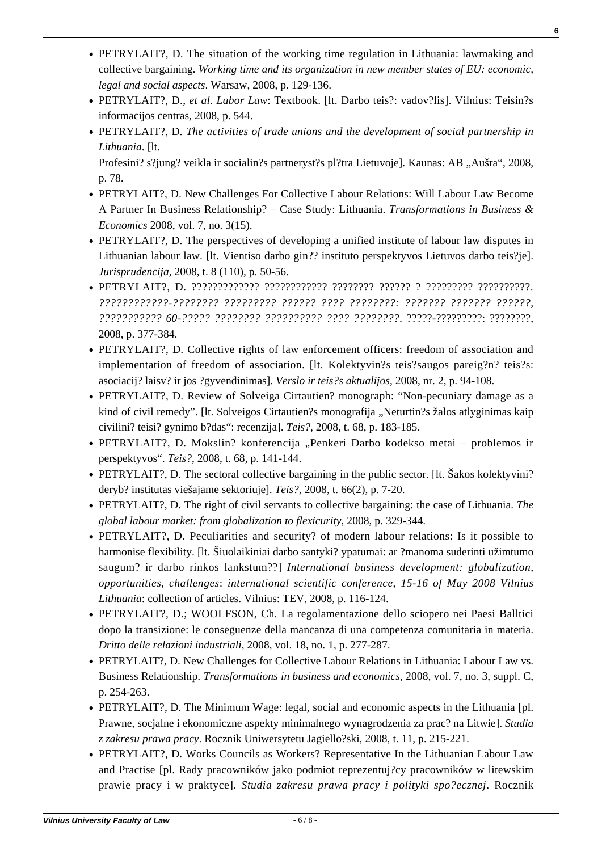- PETRYLAIT?, D. The situation of the working time regulation in Lithuania: lawmaking and collective bargaining. *Working time and its organization in new member states of EU: economic, legal and social aspects*. Warsaw, 2008, p. 129-136.
- PETRYLAIT?, D., *et al*. *Labor Law*: Textbook. [lt. Darbo teis?: vadov?lis]. Vilnius: Teisin?s informacijos centras, 2008, p. 544.
- PETRYLAIT?, D*. The activities of trade unions and the development of social partnership in Lithuania*. [lt.

Profesini? s?jung? veikla ir socialin?s partneryst?s pl?tra Lietuvoje]. Kaunas: AB "Aušra", 2008, p. 78.

- PETRYLAIT?, D. New Challenges For Collective Labour Relations: Will Labour Law Become A Partner In Business Relationship? – Case Study: Lithuania. *Transformations in Business & Economics* 2008, vol. 7, no. 3(15).
- [PETRYLAIT?, D. The perspectives of developing a unified institute of labour law disputes in](https://www3.mruni.eu/ojs/jurisprudence/article/view/1820) [Lithuanian labour law. \[lt. Vientiso darbo gin?? instituto perspektyvos Lietuvos darbo teis?je\].](https://www3.mruni.eu/ojs/jurisprudence/article/view/1820) *[Jurisprudencija](https://www3.mruni.eu/ojs/jurisprudence/article/view/1820)*[, 2008, t. 8 \(110\), p. 50-56.](https://www3.mruni.eu/ojs/jurisprudence/article/view/1820)
- PETRYLAIT?, D. ????????????? ???????????? ???????? ?????? ? ????????? ??????????. *????????????-???????? ????????? ?????? ???? ????????: ??????? ??????? ??????, ??????????? 60-????? ???????? ?????????? ???? ????????*. ?????-?????????: ????????, 2008, p. 377-384.
- PETRYLAIT?, D. Collective rights of law enforcement officers: freedom of association and implementation of freedom of association. [lt. Kolektyvin?s teis?saugos pareig?n? teis?s: asociacij? laisv? ir jos ?gyvendinimas]. *Verslo ir teis?s aktualijos*, 2008, nr. 2, p. 94-108.
- PETRYLAIT?, D. Review of Solveiga Cirtautien? monograph: "Non-pecuniary damage as a kind of civil remedy". [It. Solveigos Cirtautien?s monografija "Neturtin?s žalos atlyginimas kaip civilini? teisi? gynimo b?das": recenzija]. *Teis?*, 2008, t. 68, p. 183-185.
- PETRYLAIT?, D. Mokslin? konferencija "Penkeri Darbo kodekso metai problemos ir perspektyvos". *Teis?*, 2008, t. 68, p. 141-144.
- PETRYLAIT?, D. The sectoral collective bargaining in the public sector. [It. Šakos kolektyvini? deryb? institutas viešajame sektoriuje]. *Teis?*, 2008, t. 66(2), p. 7-20.
- PETRYLAIT?, D. The right of civil servants to collective bargaining: the case of Lithuania. *The global labour market: from globalization to flexicurity*, 2008, p. 329-344.
- PETRYLAIT?, D. Peculiarities and security? of modern labour relations: Is it possible to harmonise flexibility. [lt. Šiuolaikiniai darbo santyki? ypatumai: ar ?manoma suderinti užimtumo saugum? ir darbo rinkos lankstum??] *International business development: globalization, opportunities, challenges*: *international scientific conference, 15-16 of May 2008 Vilnius Lithuania*: collection of articles. Vilnius: TEV, 2008, p. 116-124.
- PETRYLAIT?, D.; WOOLFSON, Ch. La regolamentazione dello sciopero nei Paesi Balltici dopo la transizione: le conseguenze della mancanza di una competenza comunitaria in materia. *Dritto delle relazioni industriali*, 2008, vol. 18, no. 1, p. 277-287.
- PETRYLAIT?, D. New Challenges for Collective Labour Relations in Lithuania: Labour Law vs. Business Relationship. *Transformations in business and economics*, 2008, vol. 7, no. 3, suppl. C, p. 254-263.
- PETRYLAIT?, D. The Minimum Wage: legal, social and economic aspects in the Lithuania [pl. Prawne, socjalne i ekonomiczne aspekty minimalnego wynagrodzenia za prac? na Litwie]. *Studia z zakresu prawa pracy*. Rocznik Uniwersytetu Jagiello?ski, 2008, t. 11, p. 215-221.
- PETRYLAIT?, D. Works Councils as Workers? Representative In the Lithuanian Labour Law and Practise [pl. Rady pracowników jako podmiot reprezentuj?cy pracowników w litewskim prawie pracy i w praktyce]. *Studia zakresu prawa pracy i polityki spo?ecznej*. Rocznik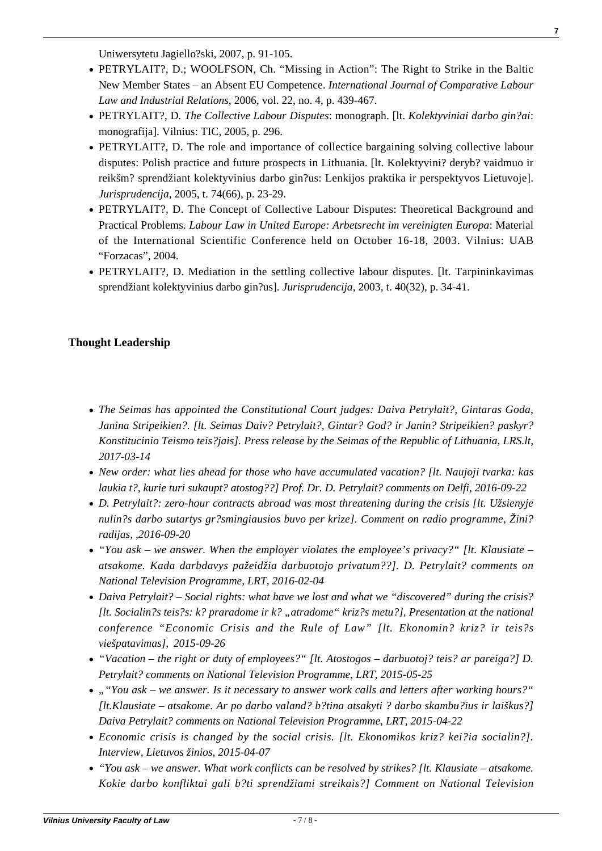Uniwersytetu Jagiello?ski, 2007, p. 91-105.

- PETRYLAIT?, D.; WOOLFSON, Ch. "Missing in Action": The Right to Strike in the Baltic New Member States – an Absent EU Competence. *International Journal of Comparative Labour Law and Industrial Relations*, 2006, vol. 22, no. 4, p. 439-467.
- PETRYLAIT?, D*. The Collective Labour Disputes*: monograph. [lt. *Kolektyviniai darbo gin?ai*: monografija]. Vilnius: TIC, 2005, p. 296.
- [PETRYLAIT?, D. The role and importance of collectice bargaining solving collective labour](https://www3.mruni.eu/ojs/jurisprudence/article/view/2984/2785) [disputes: Polish practice and future prospects in Lithuania. \[lt. Kolektyvini? deryb? vaidmuo ir](https://www3.mruni.eu/ojs/jurisprudence/article/view/2984/2785) [reikšm? sprendžiant kolektyvinius darbo gin?us: Lenkijos praktika ir perspektyvos Lietuvoje\].](https://www3.mruni.eu/ojs/jurisprudence/article/view/2984/2785) *[Jurisprudencija,](https://www3.mruni.eu/ojs/jurisprudence/article/view/2984/2785)* [2005, t. 74\(66\), p. 23-29.](https://www3.mruni.eu/ojs/jurisprudence/article/view/2984/2785)
- PETRYLAIT?, D. The Concept of Collective Labour Disputes: Theoretical Background and Practical Problems. *Labour Law in United Europe: Arbetsrecht im vereinigten Europa*: Material of the International Scientific Conference held on October 16-18, 2003. Vilnius: UAB "Forzacas", 2004.
- [PETRYLAIT?, D. Mediation in the settling collective labour disputes. \[lt. Tarpininkavimas](https://www3.mruni.eu/ojs/jurisprudence/article/view/3440/3235) [sprendžiant kolektyvinius darbo gin?us\].](https://www3.mruni.eu/ojs/jurisprudence/article/view/3440/3235) *[Jurisprudencija](https://www3.mruni.eu/ojs/jurisprudence/article/view/3440/3235)*[, 2003, t. 40\(32\), p. 34-41.](https://www3.mruni.eu/ojs/jurisprudence/article/view/3440/3235)

### **Thought Leadership**

- *[The Seimas has appointed the Constitutional Court judges: Daiva Petrylait?, Gintaras Goda,](http://www.lrs.lt/sip/portal.show?p_r=119&p_k=1&p_t=170339) [Janina Stripeikien?. \[lt. Seimas Daiv? Petrylait?, Gintar? God? ir Janin? Stripeikien? paskyr?](http://www.lrs.lt/sip/portal.show?p_r=119&p_k=1&p_t=170339) [Konstitucinio Teismo teis?jais\]. Press release by the Seimas of the Republic of Lithuania, LRS.lt,](http://www.lrs.lt/sip/portal.show?p_r=119&p_k=1&p_t=170339) [2017-03-14](http://www.lrs.lt/sip/portal.show?p_r=119&p_k=1&p_t=170339)*
- *[New order: what lies ahead for those who have accumulated vacation? \[lt. Naujoji tvarka: kas](http://www.delfi.lt/verslas/verslas/naujoji-tvarka-kas-laukia-tu-kurie-turi-sukauptu-atostogu.d?id=72358768) [laukia t?, kurie turi sukaupt? atostog??\] Prof. Dr. D. Petrylait? comments on Delfi, 2016-09-22](http://www.delfi.lt/verslas/verslas/naujoji-tvarka-kas-laukia-tu-kurie-turi-sukauptu-atostogu.d?id=72358768)*
- *[D. Petrylait?: zero-hour contracts abroad was most threatening during the crisis \[lt. Užsienyje](http://www.ziniuradijas.lt/laidos/dienos-klausimas/d-petrylaite-uzsienyje-nulines-darbo-sutartys-gresmingiausios-buvo-per-krize?video=1) [nulin?s darbo sutartys gr?smingiausios buvo per krize\]. Comment on radio programme, Žini?](http://www.ziniuradijas.lt/laidos/dienos-klausimas/d-petrylaite-uzsienyje-nulines-darbo-sutartys-gresmingiausios-buvo-per-krize?video=1) [radijas, ,2016-09-20](http://www.ziniuradijas.lt/laidos/dienos-klausimas/d-petrylaite-uzsienyje-nulines-darbo-sutartys-gresmingiausios-buvo-per-krize?video=1)*
- *["You ask we answer. When the employer violates the employee's privacy?" \[lt. Klausiate –](http://www.lrt.lt/naujienos/tavo_lrt/37/126567) [atsakome. Kada darbdavys pažeidžia darbuotojo privatum??\]. D. Petrylait? comments on](http://www.lrt.lt/naujienos/tavo_lrt/37/126567) [National Television Programme, LRT, 2016-02-04](http://www.lrt.lt/naujienos/tavo_lrt/37/126567)*
- *[Daiva Petrylait? Social rights: what have we lost and what we "discovered" during the crisis?](https://www.youtube.com/watch?v=PnBYnp-PHTM) [\[lt. Socialin?s teis?s: k? praradome ir k? "atradome" kriz?s metu?\], Presentation at the national](https://www.youtube.com/watch?v=PnBYnp-PHTM) [conference "Economic Crisis and the Rule of Law" \[lt. Ekonomin? kriz? ir teis?s](https://www.youtube.com/watch?v=PnBYnp-PHTM) [viešpatavimas\], 2015-09-26](https://www.youtube.com/watch?v=PnBYnp-PHTM)*
- *["Vacation the right or duty of employees?" \[lt. Atostogos darbuotoj? teis? ar pareiga?\] D.](http://www.lrt.lt/naujienos/ekonomika/4/103044) [Petrylait? comments on National Television Programme, LRT, 2015-05-25](http://www.lrt.lt/naujienos/ekonomika/4/103044)*
- *[""You ask we answer. Is it necessary to answer work calls and letters after working hours?"](http://www.lrt.lt/naujienos/tavo_lrt/37/99628) [\[lt.Klausiate – atsakome. Ar po darbo valand? b?tina atsakyti ? darbo skambu?ius ir laiškus?\]](http://www.lrt.lt/naujienos/tavo_lrt/37/99628) [Daiva Petrylait? comments on National Television Programme, LRT, 2015-04-22](http://www.lrt.lt/naujienos/tavo_lrt/37/99628)*
- *[Economic crisis is changed by the social crisis. \[lt. Ekonomikos kriz? kei?ia socialin?\].](http://lzinios.lt/lzinios/Ekonomika/ekonomikos-krize-keicia-socialine/199758) [Interview, Lietuvos žinios, 2015-04-07](http://lzinios.lt/lzinios/Ekonomika/ekonomikos-krize-keicia-socialine/199758)*
- *["You ask we answer. What work conflicts can be resolved by strikes? \[lt. Klausiate atsakome.](http://www.lrt.lt/naujienos/tavo_lrt/37/84957#wowzaplaystart=-1481493600000&wowzaplayduration=1481496095000) [Kokie darbo konfliktai gali b?ti sprendžiami streikais?\] Comment on National Television](http://www.lrt.lt/naujienos/tavo_lrt/37/84957#wowzaplaystart=-1481493600000&wowzaplayduration=1481496095000)*